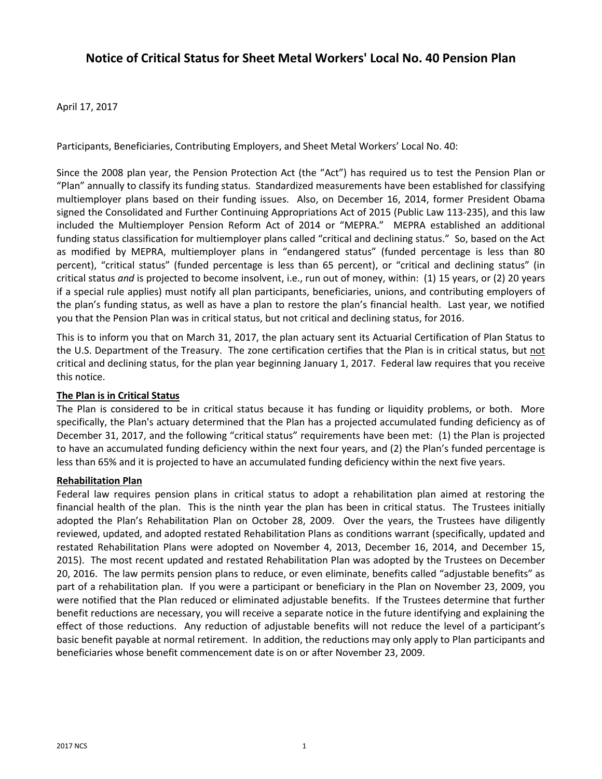# **Notice of Critical Status for Sheet Metal Workers' Local No. 40 Pension Plan**

## April 17, 2017

Participants, Beneficiaries, Contributing Employers, and Sheet Metal Workers' Local No. 40:

Since the 2008 plan year, the Pension Protection Act (the "Act") has required us to test the Pension Plan or "Plan" annually to classify its funding status. Standardized measurements have been established for classifying multiemployer plans based on their funding issues. Also, on December 16, 2014, former President Obama signed the Consolidated and Further Continuing Appropriations Act of 2015 (Public Law 113-235), and this law included the Multiemployer Pension Reform Act of 2014 or "MEPRA." MEPRA established an additional funding status classification for multiemployer plans called "critical and declining status." So, based on the Act as modified by MEPRA, multiemployer plans in "endangered status" (funded percentage is less than 80 percent), "critical status" (funded percentage is less than 65 percent), or "critical and declining status" (in critical status *and* is projected to become insolvent, i.e., run out of money, within: (1) 15 years, or (2) 20 years if a special rule applies) must notify all plan participants, beneficiaries, unions, and contributing employers of the plan's funding status, as well as have a plan to restore the plan's financial health. Last year, we notified you that the Pension Plan was in critical status, but not critical and declining status, for 2016.

This is to inform you that on March 31, 2017, the plan actuary sent its Actuarial Certification of Plan Status to the U.S. Department of the Treasury. The zone certification certifies that the Plan is in critical status, but not critical and declining status, for the plan year beginning January 1, 2017. Federal law requires that you receive this notice.

## **The Plan is in Critical Status**

The Plan is considered to be in critical status because it has funding or liquidity problems, or both. More specifically, the Plan's actuary determined that the Plan has a projected accumulated funding deficiency as of December 31, 2017, and the following "critical status" requirements have been met: (1) the Plan is projected to have an accumulated funding deficiency within the next four years, and (2) the Plan's funded percentage is less than 65% and it is projected to have an accumulated funding deficiency within the next five years.

## **Rehabilitation Plan**

Federal law requires pension plans in critical status to adopt a rehabilitation plan aimed at restoring the financial health of the plan. This is the ninth year the plan has been in critical status. The Trustees initially adopted the Plan's Rehabilitation Plan on October 28, 2009. Over the years, the Trustees have diligently reviewed, updated, and adopted restated Rehabilitation Plans as conditions warrant (specifically, updated and restated Rehabilitation Plans were adopted on November 4, 2013, December 16, 2014, and December 15, 2015). The most recent updated and restated Rehabilitation Plan was adopted by the Trustees on December 20, 2016. The law permits pension plans to reduce, or even eliminate, benefits called "adjustable benefits" as part of a rehabilitation plan. If you were a participant or beneficiary in the Plan on November 23, 2009, you were notified that the Plan reduced or eliminated adjustable benefits. If the Trustees determine that further benefit reductions are necessary, you will receive a separate notice in the future identifying and explaining the effect of those reductions. Any reduction of adjustable benefits will not reduce the level of a participant's basic benefit payable at normal retirement. In addition, the reductions may only apply to Plan participants and beneficiaries whose benefit commencement date is on or after November 23, 2009.